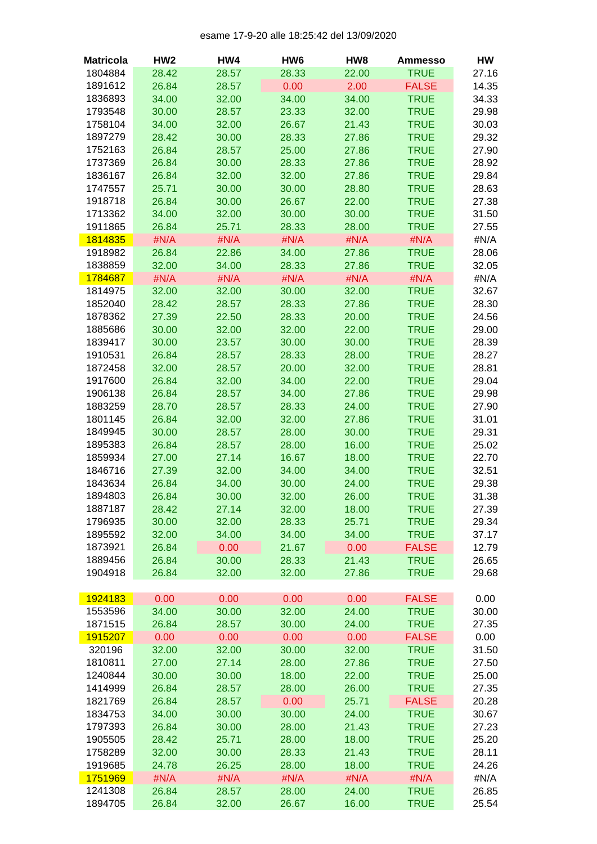## esame 17-9-20 alle 18:25:42 del 13/09/2020

| <b>Matricola</b> | HW <sub>2</sub> | HW4   | HW <sub>6</sub> | HW8   | <b>Ammesso</b> | HW    |
|------------------|-----------------|-------|-----------------|-------|----------------|-------|
| 1804884          | 28.42           | 28.57 | 28.33           | 22.00 | <b>TRUE</b>    | 27.16 |
| 1891612          | 26.84           | 28.57 | 0.00            | 2.00  | <b>FALSE</b>   | 14.35 |
| 1836893          | 34.00           | 32.00 | 34.00           | 34.00 | <b>TRUE</b>    | 34.33 |
| 1793548          | 30.00           | 28.57 | 23.33           | 32.00 | <b>TRUE</b>    | 29.98 |
| 1758104          | 34.00           | 32.00 | 26.67           | 21.43 | <b>TRUE</b>    | 30.03 |
| 1897279          | 28.42           | 30.00 | 28.33           | 27.86 | <b>TRUE</b>    | 29.32 |
| 1752163          | 26.84           | 28.57 | 25.00           | 27.86 | <b>TRUE</b>    | 27.90 |
| 1737369          | 26.84           | 30.00 | 28.33           | 27.86 | <b>TRUE</b>    | 28.92 |
| 1836167          | 26.84           | 32.00 | 32.00           | 27.86 | <b>TRUE</b>    | 29.84 |
| 1747557          | 25.71           | 30.00 | 30.00           | 28.80 | <b>TRUE</b>    | 28.63 |
| 1918718          | 26.84           | 30.00 | 26.67           | 22.00 | <b>TRUE</b>    | 27.38 |
| 1713362          | 34.00           | 32.00 | 30.00           | 30.00 | <b>TRUE</b>    | 31.50 |
| 1911865          |                 |       |                 |       |                |       |
|                  | 26.84           | 25.71 | 28.33           | 28.00 | <b>TRUE</b>    | 27.55 |
| 1814835          | #N/A            | #N/A  | #N/A            | #N/A  | #N/A           | #N/A  |
| 1918982          | 26.84           | 22.86 | 34.00           | 27.86 | <b>TRUE</b>    | 28.06 |
| 1838859          | 32.00           | 34.00 | 28.33           | 27.86 | <b>TRUE</b>    | 32.05 |
| 1784687          | #N/A            | #N/A  | #N/A            | #N/A  | #N/A           | #N/A  |
| 1814975          | 32.00           | 32.00 | 30.00           | 32.00 | <b>TRUE</b>    | 32.67 |
| 1852040          | 28.42           | 28.57 | 28.33           | 27.86 | <b>TRUE</b>    | 28.30 |
| 1878362          | 27.39           | 22.50 | 28.33           | 20.00 | <b>TRUE</b>    | 24.56 |
| 1885686          | 30.00           | 32.00 | 32.00           | 22.00 | <b>TRUE</b>    | 29.00 |
| 1839417          | 30.00           | 23.57 | 30.00           | 30.00 | <b>TRUE</b>    | 28.39 |
| 1910531          | 26.84           | 28.57 | 28.33           | 28.00 | <b>TRUE</b>    | 28.27 |
| 1872458          | 32.00           | 28.57 | 20.00           | 32.00 | <b>TRUE</b>    | 28.81 |
| 1917600          | 26.84           | 32.00 | 34.00           | 22.00 | <b>TRUE</b>    | 29.04 |
| 1906138          | 26.84           | 28.57 | 34.00           | 27.86 | <b>TRUE</b>    | 29.98 |
| 1883259          | 28.70           | 28.57 | 28.33           | 24.00 | <b>TRUE</b>    | 27.90 |
| 1801145          | 26.84           | 32.00 | 32.00           | 27.86 | <b>TRUE</b>    | 31.01 |
| 1849945          | 30.00           | 28.57 | 28.00           | 30.00 | <b>TRUE</b>    | 29.31 |
| 1895383          | 26.84           | 28.57 | 28.00           | 16.00 | <b>TRUE</b>    | 25.02 |
| 1859934          | 27.00           | 27.14 | 16.67           | 18.00 | <b>TRUE</b>    | 22.70 |
| 1846716          | 27.39           | 32.00 | 34.00           | 34.00 | <b>TRUE</b>    | 32.51 |
| 1843634          | 26.84           | 34.00 | 30.00           | 24.00 | <b>TRUE</b>    | 29.38 |
| 1894803          | 26.84           | 30.00 | 32.00           | 26.00 | <b>TRUE</b>    | 31.38 |
| 1887187          | 28.42           | 27.14 | 32.00           | 18.00 | <b>TRUE</b>    | 27.39 |
| 1796935          | 30.00           | 32.00 | 28.33           | 25.71 | <b>TRUE</b>    | 29.34 |
| 1895592          | 32.00           | 34.00 | 34.00           | 34.00 | <b>TRUE</b>    | 37.17 |
|                  |                 |       | 21.67           | 0.00  |                |       |
| 1873921          | 26.84           | 0.00  |                 |       | <b>FALSE</b>   | 12.79 |
| 1889456          | 26.84           | 30.00 | 28.33           | 21.43 | <b>TRUE</b>    | 26.65 |
| 1904918          | 26.84           | 32.00 | 32.00           | 27.86 | <b>TRUE</b>    | 29.68 |
|                  |                 |       |                 |       |                |       |
| 1924183          | 0.00            | 0.00  | 0.00            | 0.00  | <b>FALSE</b>   | 0.00  |
| 1553596          | 34.00           | 30.00 | 32.00           | 24.00 | <b>TRUE</b>    | 30.00 |
| 1871515          | 26.84           | 28.57 | 30.00           | 24.00 | <b>TRUE</b>    | 27.35 |
| 1915207          | 0.00            | 0.00  | 0.00            | 0.00  | <b>FALSE</b>   | 0.00  |
| 320196           | 32.00           | 32.00 | 30.00           | 32.00 | <b>TRUE</b>    | 31.50 |
| 1810811          | 27.00           | 27.14 | 28.00           | 27.86 | <b>TRUE</b>    | 27.50 |
| 1240844          | 30.00           | 30.00 | 18.00           | 22.00 | <b>TRUE</b>    | 25.00 |
| 1414999          | 26.84           | 28.57 | 28.00           | 26.00 | <b>TRUE</b>    | 27.35 |
| 1821769          | 26.84           | 28.57 | 0.00            | 25.71 | <b>FALSE</b>   | 20.28 |
| 1834753          | 34.00           | 30.00 | 30.00           | 24.00 | <b>TRUE</b>    | 30.67 |
| 1797393          | 26.84           | 30.00 | 28.00           | 21.43 | <b>TRUE</b>    | 27.23 |
| 1905505          | 28.42           | 25.71 | 28.00           | 18.00 | <b>TRUE</b>    | 25.20 |
| 1758289          | 32.00           | 30.00 | 28.33           | 21.43 | <b>TRUE</b>    | 28.11 |
| 1919685          | 24.78           | 26.25 | 28.00           | 18.00 | <b>TRUE</b>    | 24.26 |
| 1751969          | #N/A            | #N/A  | #N/A            | #N/A  | #N/A           | #N/A  |
| 1241308          | 26.84           | 28.57 | 28.00           | 24.00 | <b>TRUE</b>    | 26.85 |
| 1894705          | 26.84           | 32.00 | 26.67           | 16.00 | <b>TRUE</b>    | 25.54 |